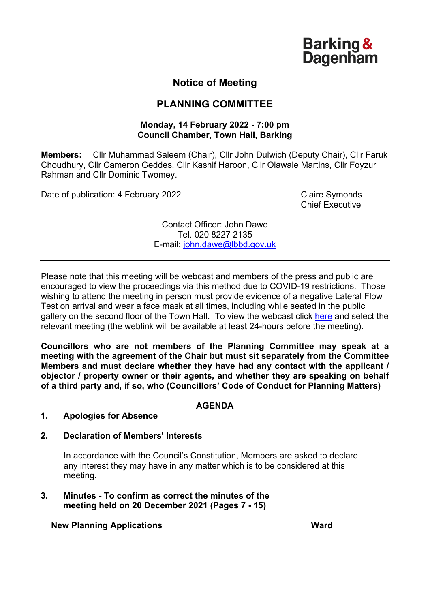**Barking & Dagenham** 

# **Notice of Meeting**

# **PLANNING COMMITTEE**

#### **Monday, 14 February 2022 - 7:00 pm Council Chamber, Town Hall, Barking**

**Members:** Cllr Muhammad Saleem (Chair), Cllr John Dulwich (Deputy Chair), Cllr Faruk Choudhury, Cllr Cameron Geddes, Cllr Kashif Haroon, Cllr Olawale Martins, Cllr Foyzur Rahman and Cllr Dominic Twomey.

Date of publication: 4 February 2022 Claire Symonds

Chief Executive

Contact Officer: John Dawe Tel. 020 8227 2135 E-mail: [john.dawe@lbbd.gov.uk](mailto:john.dawe@lbbd.gov.uk)

Please note that this meeting will be webcast and members of the press and public are encouraged to view the proceedings via this method due to COVID-19 restrictions. Those wishing to attend the meeting in person must provide evidence of a negative Lateral Flow Test on arrival and wear a face mask at all times, including while seated in the public gallery on the second floor of the Town Hall. To view the webcast click [here](https://modgov.lbbd.gov.uk/internet/ieListMeetings.aspx?CId=176&Year=0) and select the relevant meeting (the weblink will be available at least 24-hours before the meeting).

**Councillors who are not members of the Planning Committee may speak at a meeting with the agreement of the Chair but must sit separately from the Committee Members and must declare whether they have had any contact with the applicant / objector / property owner or their agents, and whether they are speaking on behalf of a third party and, if so, who (Councillors' Code of Conduct for Planning Matters)**

### **AGENDA**

### **1. Apologies for Absence**

### **2. Declaration of Members' Interests**

In accordance with the Council's Constitution, Members are asked to declare any interest they may have in any matter which is to be considered at this meeting.

#### **3. Minutes - To confirm as correct the minutes of the meeting held on 20 December 2021 (Pages 7 - 15)**

**New Planning Applications Ward**